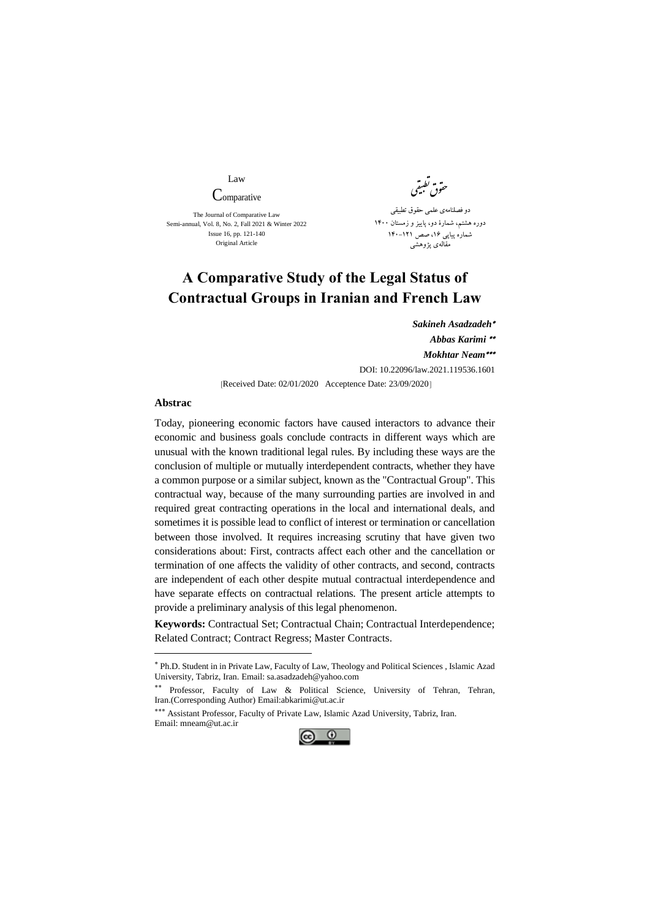Law

**Comparative** The Journal of Comparative Law

Semi-annual, Vol. 8, No. 2, Fall 2021 & Winter 2022 Issue 16, pp. 121-140 Original Article

تطب وق حقوق نظیفتی ی دو فصلنامهی علمی حقوق تطبیقی دوره هشتم، شمارۀ دو، پايیز و زمستان 1400 شماره پیاپی ،16 صص 140-121 مقالهی پژوهشی

## **A Comparative Study of the Legal Status of Contractual Groups in Iranian and French Law**

*Sakineh Asadzadeh Abbas Karimi Mokhtar Neam* DOI: [10.22096/law.2021.119536.1601](https://dx.doi.org/10.22096/law.2021.119536.1601)

[Received Date: 02/01/2020 Acceptence Date: 23/09/2020]

## **Abstrac**

-

Today, pioneering economic factors have caused interactors to advance their economic and business goals conclude contracts in different ways which are unusual with the known traditional legal rules. By including these ways are the conclusion of multiple or mutually interdependent contracts, whether they have a common purpose or a similar subject, known as the "Contractual Group". This contractual way, because of the many surrounding parties are involved in and required great contracting operations in the local and international deals, and sometimes it is possible lead to conflict of interest or termination or cancellation between those involved. It requires increasing scrutiny that have given two considerations about: First, contracts affect each other and the cancellation or termination of one affects the validity of other contracts, and second, contracts are independent of each other despite mutual contractual interdependence and have separate effects on contractual relations. The present article attempts to provide a preliminary analysis of this legal phenomenon.

**Keywords:** Contractual Set; Contractual Chain; Contractual Interdependence; Related Contract; Contract Regress; Master Contracts.

\*\*\* Assistant Professor, Faculty of Private Law, Islamic Azad University, Tabriz, Iran. Email: mneam@ut.ac.ir



Ph.D. Student in in Private Law, Faculty of Law, Theology and Political Sciences , Islamic Azad University, Tabriz, Iran. Email: [sa.asadzadeh@yahoo.com](mailto:sa.asadzadeh@yahoo.com)

Professor, Faculty of Law & Political Science, University of Tehran, Tehran, Iran.(Corresponding Author) Emai[l:abkarimi@ut.ac.ir](mailto:abkarimi@ut.ac.ir)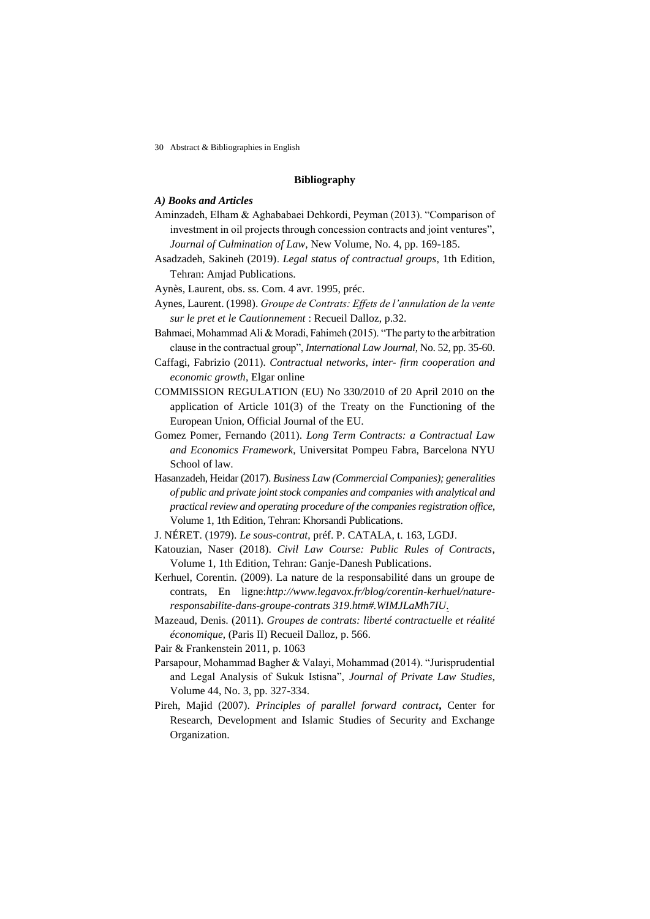30 Abstract & Bibliographies in English

## **Bibliography**

## *A) Books and Articles*

- Aminzadeh, Elham & Aghababaei Dehkordi, Peyman (2013). "Comparison of investment in oil projects through concession contracts and joint ventures", *Journal of Culmination of Law*, New Volume, No. 4, pp. 169-185.
- Asadzadeh, Sakineh (2019). *Legal status of contractual groups*, 1th Edition, Tehran: Amjad Publications.
- Aynès, Laurent, obs. ss. Com. 4 avr. 1995, préc.
- Aynes, Laurent. (1998). *Groupe de Contrats: Effets de l'annulation de la vente sur le pret et le Cautionnement* : Recueil Dalloz, p.32.
- Bahmaei, Mohammad Ali & Moradi, Fahimeh (2015). "The party to the arbitration clause in the contractual group", *International Law Journal*, No. 52, pp. 35-60.
- Caffagi, Fabrizio (2011). *Contractual networks, inter- firm cooperation and economic growth*, Elgar online
- COMMISSION REGULATION (EU) No 330/2010 of 20 April 2010 on the application of Article 101(3) of the Treaty on the Functioning of the European Union, Official Journal of the EU.
- Gomez Pomer, Fernando (2011). *Long Term Contracts: a Contractual Law and Economics Framework*, Universitat Pompeu Fabra, Barcelona NYU School of law.
- Hasanzadeh, Heidar (2017). *Business Law (Commercial Companies); generalities of public and private joint stock companies and companies with analytical and practical review and operating procedure of the companies registration office*, Volume 1, 1th Edition, Tehran: Khorsandi Publications.
- J. NÉRET. (1979). *Le sous-contrat*, préf. P. CATALA, t. 163, LGDJ.
- Katouzian, Naser (2018). *Civil Law Course: Public Rules of Contracts*, Volume 1, 1th Edition, Tehran: Ganje-Danesh Publications.
- Kerhuel, Corentin. (2009). La nature de la responsabilité dans un groupe de contrats, En ligne:*http://www.legavox.fr/blog/corentin-kerhuel/natureresponsabilite-dans-groupe-contrats 319.htm#.WIMJLaMh7IU.*
- Mazeaud, Denis. (2011). *Groupes de contrats: liberté contractuelle et réalité économique*, (Paris II) Recueil Dalloz, p. 566.
- Pair & Frankenstein 2011, p. 1063
- Parsapour, Mohammad Bagher & Valayi, Mohammad (2014). "Jurisprudential and Legal Analysis of Sukuk Istisna", *Journal of Private Law Studies*, Volume 44, No. 3, pp. 327-334.
- Pireh, Majid (2007). *Principles of parallel forward contract***,** Center for Research, Development and Islamic Studies of Security and Exchange Organization.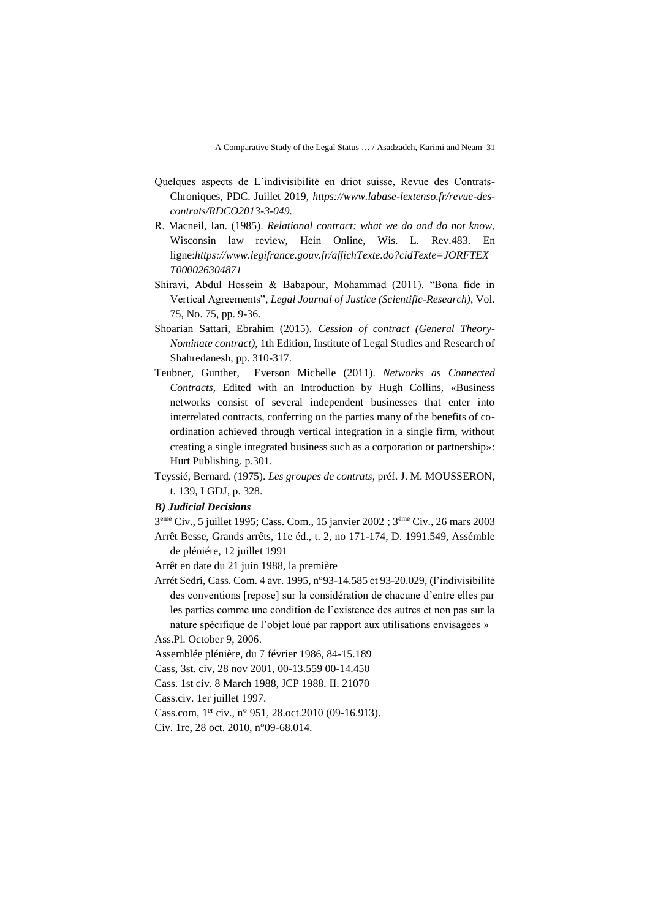- Quelques aspects de L'indivisibilité en driot suisse, Revue des Contrats-Chroniques, PDC. Juillet 2019, *https://www.labase-lextenso.fr/revue-descontrats/RDCO2013-3-049.*
- R. Macneil, Ian. (1985). *Relational contract: what we do and do not know*, Wisconsin law review, Hein Online, Wis. L. Rev.483. En ligne:*[https://www.legifrance.gouv.fr/affichTexte.do?cidTexte=JORFTEX](https://www.legifrance.gouv.fr/affichTexte.do?cidTexte=JORFTEXT000026304871) [T000026304871](https://www.legifrance.gouv.fr/affichTexte.do?cidTexte=JORFTEXT000026304871)*
- Shiravi, Abdul Hossein & Babapour, Mohammad (2011). "Bona fide in Vertical Agreements", *Legal Journal of Justice (Scientific-Research)*, Vol. 75, No. 75, pp. 9-36.
- Shoarian Sattari, Ebrahim (2015). *Cession of contract (General Theory-Nominate contract)*, 1th Edition, Institute of Legal Studies and Research of Shahredanesh, pp. 310-317.
- Teubner, [Gunther,](https://www.bloomsburyprofessional.com/uk/author/gunther-teubner) Everson [Michelle](https://www.bloomsburyprofessional.com/uk/author/michelle-everson) (2011). *Networks as Connected Contracts*, Edited with an Introduction by Hugh Collins, «Business networks consist of several independent businesses that enter into interrelated contracts, conferring on the parties many of the benefits of coordination achieved through vertical integration in a single firm, without creating a single integrated business such as a corporation or partnership»: Hurt Publishing. p.301.
- Teyssié, Bernard. (1975). *Les groupes de contrats*, préf. J. M. MOUSSERON, t. 139, LGDJ, p. 328.

*B) Judicial Decisions*

3 ème Civ., 5 juillet 1995; Cass. Com., 15 janvier 2002 ; 3ème Civ., 26 mars 2003 Arrêt Besse, Grands arrêts, 11e éd., t. 2, no 171-174, D. 1991.549, Assémble de pléniére, 12 juillet 1991

Arrêt en date du 21 juin 1988, la première

Arrét Sedri, Cass. Com. 4 avr. 1995, n°93-14.585 et 93-20.029, (l'indivisibilité des conventions [repose] sur la considération de chacune d'entre elles par les parties comme une condition de l'existence des autres et non pas sur la nature spécifique de l'objet loué par rapport aux utilisations envisagées »

Ass.Pl. October 9, 2006.

Assemblée plénière, du 7 février 1986, 84-15.189

Cass, 3st. civ, 28 nov 2001, 00-13.559 00-14.450

Cass. 1st civ. 8 March 1988, JCP 1988. II. 21070

Cass.civ. 1er juillet 1997.

Cass.com, 1<sup>er</sup> civ., n° 951, 28.oct.2010 (09-16.913).

Civ. 1re, 28 oct. 2010, n°09-68.014.